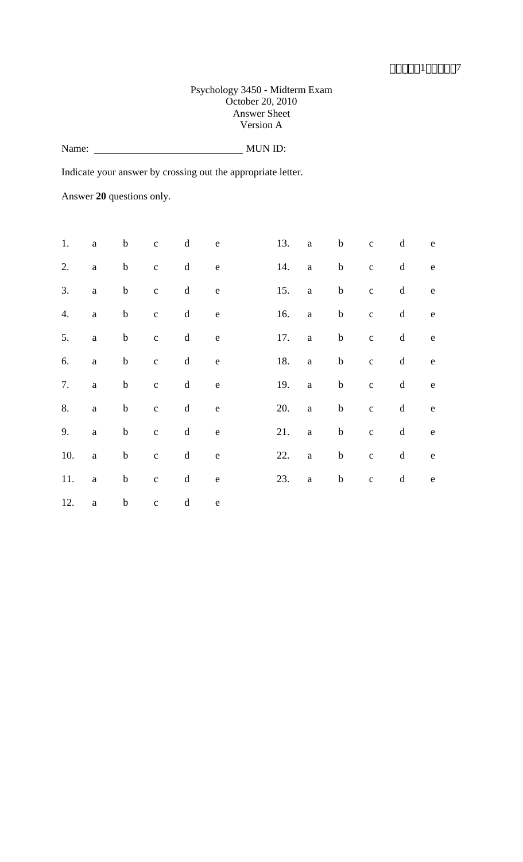#### Psychology 3450 - Midterm Exam October 20, 2010 Answer Sheet Version A

Name: MUN ID:

Indicate your answer by crossing out the appropriate letter.

Answer **20** questions only.

| 1.  | $\mathbf{a}$ | $\mathbf b$ | $\mathbf{C}$   | $\mathbf d$ | ${\bf e}$ | 13. | a                 | $\mathbf b$ | $\mathbf{C}$   | $\mathbf d$                                   | e                                                                                                                                                                                                                                                                                                                                                                                                                              |
|-----|--------------|-------------|----------------|-------------|-----------|-----|-------------------|-------------|----------------|-----------------------------------------------|--------------------------------------------------------------------------------------------------------------------------------------------------------------------------------------------------------------------------------------------------------------------------------------------------------------------------------------------------------------------------------------------------------------------------------|
| 2.  | $\mathbf{a}$ | $\mathbf b$ | $\overline{c}$ | $\mathbf d$ | ${\bf e}$ | 14. | $\mathbf{a}$      | $\mathbf b$ | $\mathbf{c}$   | $\mathbf d$                                   | $\mathbf{e}% _{B}=\mathbf{e}_{B}+\mathbf{e}_{B}+\mathbf{e}_{B}+\mathbf{e}_{B}+\mathbf{e}_{B}+\mathbf{e}_{B}+\mathbf{e}_{B}+\mathbf{e}_{C}+\mathbf{e}_{C}+\mathbf{e}_{D}+\mathbf{e}_{D}+\mathbf{e}_{D}+\mathbf{e}_{D}+\mathbf{e}_{D}+\mathbf{e}_{D}+\mathbf{e}_{D}+\mathbf{e}_{D}+\mathbf{e}_{D}+\mathbf{e}_{D}+\mathbf{e}_{D}+\mathbf{e}_{D}+\mathbf{e}_{D}+\mathbf{e}_{D}+\mathbf{e}_{D}+\mathbf{e}_{D}+\mathbf{e}_{D}+\math$ |
| 3.  | $\mathbf{a}$ | $\mathbf b$ | $\mathbf{C}$   | $\mathbf d$ | e         | 15. | $a \qquad \qquad$ | $\mathbf b$ | $\overline{c}$ | $\mathbf d$                                   | $\mathbf{e}$                                                                                                                                                                                                                                                                                                                                                                                                                   |
| 4.  | $\mathbf{a}$ | $\mathbf b$ | $\overline{c}$ | $\mathbf d$ | e         | 16. | a                 | $\mathbf b$ | $\overline{c}$ | $\mathbf d$                                   | e                                                                                                                                                                                                                                                                                                                                                                                                                              |
| 5.  | $\mathbf{a}$ | $\mathbf b$ | $\mathbf{C}$   | $\mathbf d$ | ${\bf e}$ | 17. | $\mathbf{a}$      | $\mathbf b$ | $\mathbf{c}$   | $\mathbf d$                                   | $\rm e$                                                                                                                                                                                                                                                                                                                                                                                                                        |
| 6.  | $\mathbf{a}$ | $\mathbf b$ | $\overline{c}$ | $\mathbf d$ | ${\rm e}$ | 18. | $\mathbf{a}$      | $\mathbf b$ | $\mathbf c$    | $\mathrm{d}% \left\  \mathbf{G}\right\  ^{2}$ | e                                                                                                                                                                                                                                                                                                                                                                                                                              |
| 7.  | $\mathbf{a}$ | $\mathbf b$ | $\mathbf{C}$   | $\mathbf d$ | e         | 19. | $\mathbf{a}$      | $\mathbf b$ | $\overline{c}$ | $\mathbf d$                                   | $\mathbf{e}$                                                                                                                                                                                                                                                                                                                                                                                                                   |
| 8.  | $\mathbf{a}$ | $\mathbf b$ | $\mathbf{C}$   | $\mathbf d$ | ${\bf e}$ | 20. | a                 | $\mathbf b$ | $\mathbf c$    | $\mathbf d$                                   | e                                                                                                                                                                                                                                                                                                                                                                                                                              |
| 9.  | $\mathbf{a}$ | $\mathbf b$ | $\mathbf{c}$   | $\mathbf d$ | ${\bf e}$ | 21. | $\mathbf{a}$      | $\mathbf b$ | $\mathbf{C}$   | $\mathbf d$                                   | $\rm e$                                                                                                                                                                                                                                                                                                                                                                                                                        |
| 10. | $\mathbf{a}$ | $\mathbf b$ | $\overline{c}$ | $\mathbf d$ | e e       | 22. | $\mathbf{a}$      | $\mathbf b$ | $\mathbf c$    | $\mathbf d$                                   | e                                                                                                                                                                                                                                                                                                                                                                                                                              |
| 11. | $\mathbf{a}$ | $\mathbf b$ | $\overline{c}$ | $\mathbf d$ | ${\bf e}$ | 23. | a                 |             | b c            | $d$ e                                         |                                                                                                                                                                                                                                                                                                                                                                                                                                |
| 12. | $\mathbf{a}$ | $\mathbf b$ | $\mathbf{c}$   | $\mathbf d$ | $\rm e$   |     |                   |             |                |                                               |                                                                                                                                                                                                                                                                                                                                                                                                                                |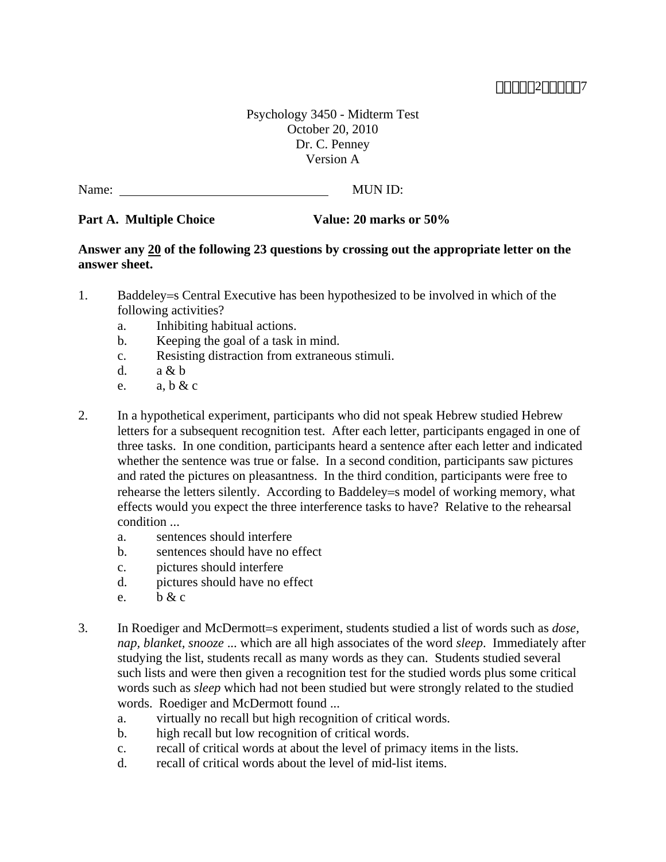### **MMM2000007**

Psychology 3450 - Midterm Test October 20, 2010 Dr. C. Penney Version A

Name: MUN ID:

#### Part A. Multiple Choice **Value: 20 marks or 50%**

#### **Answer any 20 of the following 23 questions by crossing out the appropriate letter on the answer sheet.**

- 1. Baddeley = SCentral Executive has been hypothesized to be involved in which of the following activities?
	- a. Inhibiting habitual actions.
	- b. Keeping the goal of a task in mind.
	- c. Resisting distraction from extraneous stimuli.
	- d. a & b
	- e.  $a, b & c$
- 2. In a hypothetical experiment, participants who did not speak Hebrew studied Hebrew letters for a subsequent recognition test. After each letter, participants engaged in one of three tasks. In one condition, participants heard a sentence after each letter and indicated whether the sentence was true or false. In a second condition, participants saw pictures and rated the pictures on pleasantness. In the third condition, participants were free to rehearse the letters silently. According to Baddeley = model of working memory, what effects would you expect the three interference tasks to have? Relative to the rehearsal condition ...
	- a. sentences should interfere
	- b. sentences should have no effect
	- c. pictures should interfere
	- d. pictures should have no effect
	- e.  $h \& c$
- 3. In Roediger and McDermott=s experiment, students studied a list of words such as *dose*, *nap, blanket, snooze* ... which are all high associates of the word *sleep*. Immediately after studying the list, students recall as many words as they can. Students studied several such lists and were then given a recognition test for the studied words plus some critical words such as *sleep* which had not been studied but were strongly related to the studied words. Roediger and McDermott found ...
	- a. virtually no recall but high recognition of critical words.
	- b. high recall but low recognition of critical words.
	- c. recall of critical words at about the level of primacy items in the lists.
	- d. recall of critical words about the level of mid-list items.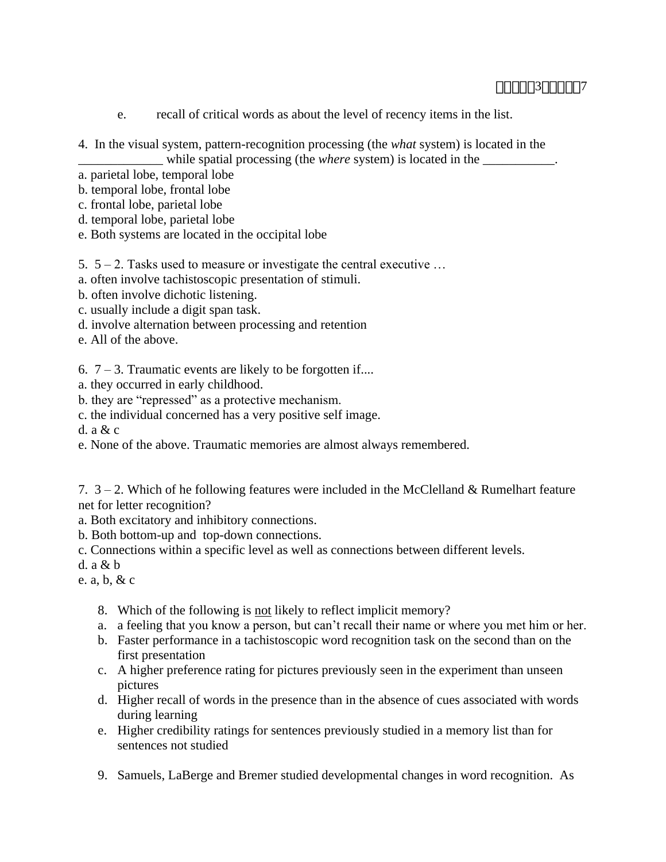- e. recall of critical words as about the level of recency items in the list.
- 4. In the visual system, pattern-recognition processing (the *what* system) is located in the

\_\_\_\_\_\_\_\_\_\_\_\_\_ while spatial processing (the *where* system) is located in the \_\_\_\_\_\_\_\_\_\_\_.

a. parietal lobe, temporal lobe

b. temporal lobe, frontal lobe

- c. frontal lobe, parietal lobe
- d. temporal lobe, parietal lobe
- e. Both systems are located in the occipital lobe

#### 5.  $5 - 2$ . Tasks used to measure or investigate the central executive ...

a. often involve tachistoscopic presentation of stimuli.

- b. often involve dichotic listening.
- c. usually include a digit span task.
- d. involve alternation between processing and retention
- e. All of the above.

6.  $7 - 3$ . Traumatic events are likely to be forgotten if....

- a. they occurred in early childhood.
- b. they are "repressed" as a protective mechanism.
- c. the individual concerned has a very positive self image.
- d. a & c
- e. None of the above. Traumatic memories are almost always remembered.

7.  $3 - 2$ . Which of he following features were included in the McClelland & Rumelhart feature net for letter recognition?

- a. Both excitatory and inhibitory connections.
- b. Both bottom-up and top-down connections.
- c. Connections within a specific level as well as connections between different levels.

d.  $a \& b$ 

- e. a, b, & c
	- 8. Which of the following is not likely to reflect implicit memory?
	- a. a feeling that you know a person, but can't recall their name or where you met him or her.
	- b. Faster performance in a tachistoscopic word recognition task on the second than on the first presentation
	- c. A higher preference rating for pictures previously seen in the experiment than unseen pictures
	- d. Higher recall of words in the presence than in the absence of cues associated with words during learning
	- e. Higher credibility ratings for sentences previously studied in a memory list than for sentences not studied
	- 9. Samuels, LaBerge and Bremer studied developmental changes in word recognition. As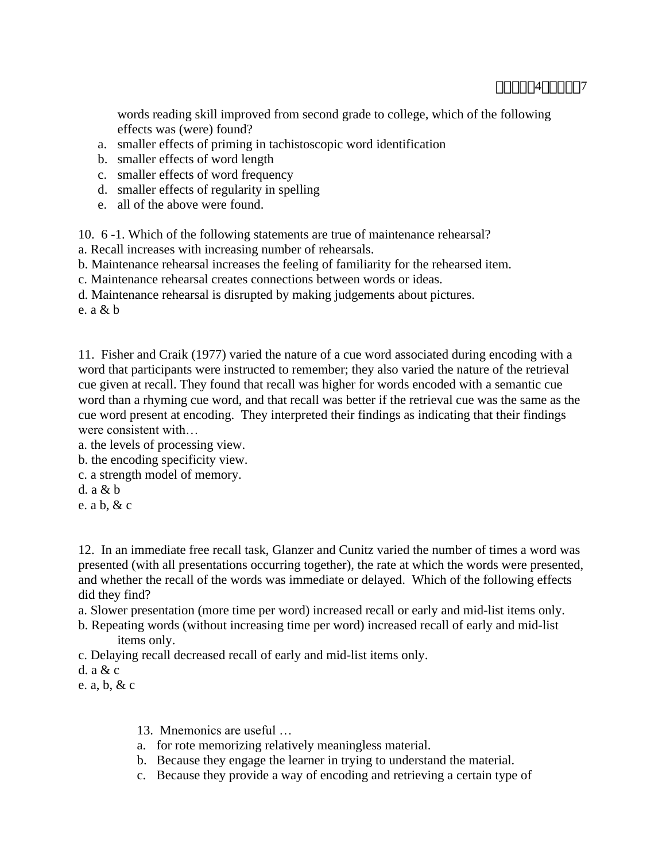words reading skill improved from second grade to college, which of the following effects was (were) found?

- a. smaller effects of priming in tachistoscopic word identification
- b. smaller effects of word length
- c. smaller effects of word frequency
- d. smaller effects of regularity in spelling
- e. all of the above were found.

10. 6 -1. Which of the following statements are true of maintenance rehearsal?

- a. Recall increases with increasing number of rehearsals.
- b. Maintenance rehearsal increases the feeling of familiarity for the rehearsed item.

c. Maintenance rehearsal creates connections between words or ideas.

d. Maintenance rehearsal is disrupted by making judgements about pictures.

e. a & b

11. Fisher and Craik (1977) varied the nature of a cue word associated during encoding with a word that participants were instructed to remember; they also varied the nature of the retrieval cue given at recall. They found that recall was higher for words encoded with a semantic cue word than a rhyming cue word, and that recall was better if the retrieval cue was the same as the cue word present at encoding. They interpreted their findings as indicating that their findings were consistent with…

- a. the levels of processing view.
- b. the encoding specificity view.
- c. a strength model of memory.
- d. a & b
- e. a b, & c

12. In an immediate free recall task, Glanzer and Cunitz varied the number of times a word was presented (with all presentations occurring together), the rate at which the words were presented, and whether the recall of the words was immediate or delayed. Which of the following effects did they find?

- a. Slower presentation (more time per word) increased recall or early and mid-list items only.
- b. Repeating words (without increasing time per word) increased recall of early and mid-list items only.
- c. Delaying recall decreased recall of early and mid-list items only.
- d. a & c

e. a, b, & c

13. Mnemonics are useful …

- a. for rote memorizing relatively meaningless material.
- b. Because they engage the learner in trying to understand the material.
- c. Because they provide a way of encoding and retrieving a certain type of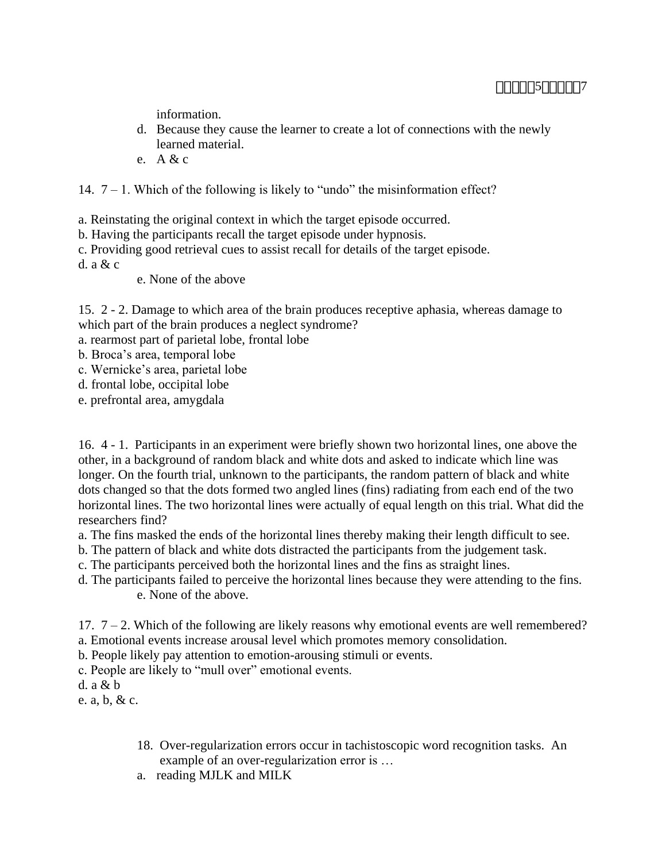information.

- d. Because they cause the learner to create a lot of connections with the newly learned material.
- e. A & c
- 14.  $7 1$ . Which of the following is likely to "undo" the misinformation effect?

a. Reinstating the original context in which the target episode occurred.

- b. Having the participants recall the target episode under hypnosis.
- c. Providing good retrieval cues to assist recall for details of the target episode.

d. a & c

e. None of the above

15. 2 - 2. Damage to which area of the brain produces receptive aphasia, whereas damage to which part of the brain produces a neglect syndrome?

- a. rearmost part of parietal lobe, frontal lobe
- b. Broca's area, temporal lobe
- c. Wernicke's area, parietal lobe
- d. frontal lobe, occipital lobe
- e. prefrontal area, amygdala

16. 4 - 1. Participants in an experiment were briefly shown two horizontal lines, one above the other, in a background of random black and white dots and asked to indicate which line was longer. On the fourth trial, unknown to the participants, the random pattern of black and white dots changed so that the dots formed two angled lines (fins) radiating from each end of the two horizontal lines. The two horizontal lines were actually of equal length on this trial. What did the researchers find?

- a. The fins masked the ends of the horizontal lines thereby making their length difficult to see.
- b. The pattern of black and white dots distracted the participants from the judgement task.
- c. The participants perceived both the horizontal lines and the fins as straight lines.
- d. The participants failed to perceive the horizontal lines because they were attending to the fins. e. None of the above.

17. 7 – 2. Which of the following are likely reasons why emotional events are well remembered? a. Emotional events increase arousal level which promotes memory consolidation.

- b. People likely pay attention to emotion-arousing stimuli or events.
- c. People are likely to "mull over" emotional events.

d. a & b

e. a, b, & c.

- 18. Over-regularization errors occur in tachistoscopic word recognition tasks. An example of an over-regularization error is …
- a. reading MJLK and MILK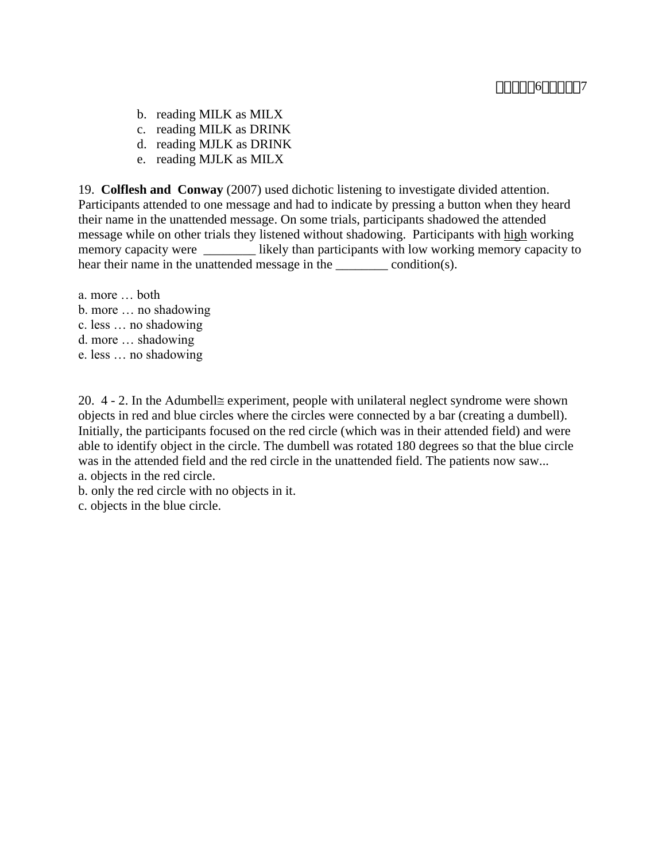- b. reading MILK as MILX
- c. reading MILK as DRINK
- d. reading MJLK as DRINK
- e. reading MJLK as MILX

19. **Colflesh and Conway** (2007) used dichotic listening to investigate divided attention. Participants attended to one message and had to indicate by pressing a button when they heard their name in the unattended message. On some trials, participants shadowed the attended message while on other trials they listened without shadowing. Participants with high working memory capacity were \_\_\_\_\_\_\_\_\_ likely than participants with low working memory capacity to hear their name in the unattended message in the condition(s).

a. more … both b. more … no shadowing c. less … no shadowing d. more … shadowing e. less … no shadowing

20.  $4 - 2$ . In the Adumbell $\cong$  experiment, people with unilateral neglect syndrome were shown objects in red and blue circles where the circles were connected by a bar (creating a dumbell). Initially, the participants focused on the red circle (which was in their attended field) and were able to identify object in the circle. The dumbell was rotated 180 degrees so that the blue circle was in the attended field and the red circle in the unattended field. The patients now saw... a. objects in the red circle.

b. only the red circle with no objects in it.

c. objects in the blue circle.